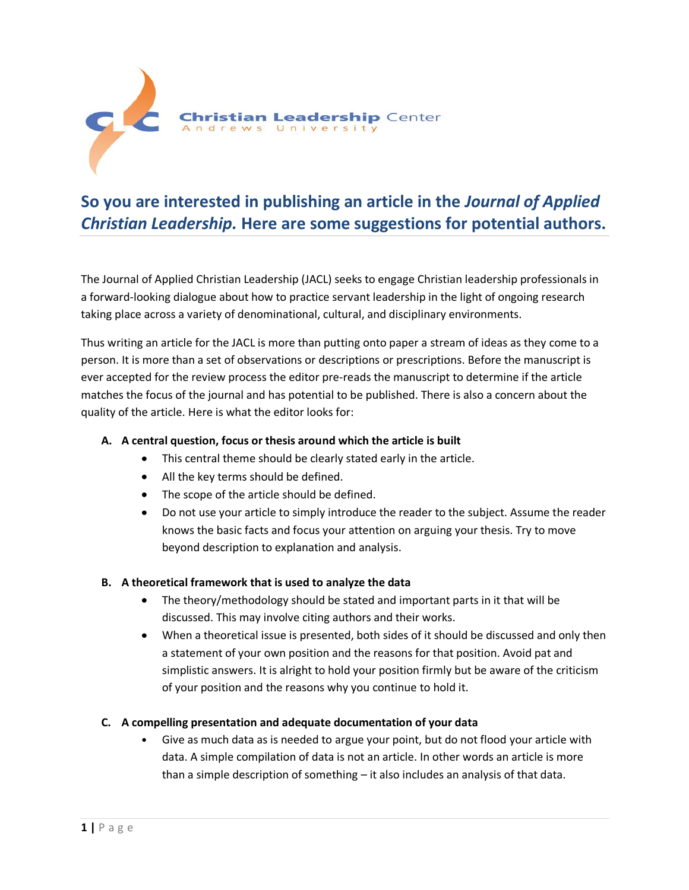

# **So you are interested in publishing an article in the** *Journal of Applied Christian Leadership.* **Here are some suggestions for potential authors.**

The Journal of Applied Christian Leadership (JACL) seeks to engage Christian leadership professionals in a forward-looking dialogue about how to practice servant leadership in the light of ongoing research taking place across a variety of denominational, cultural, and disciplinary environments.

Thus writing an article for the JACL is more than putting onto paper a stream of ideas as they come to a person. It is more than a set of observations or descriptions or prescriptions. Before the manuscript is ever accepted for the review process the editor pre-reads the manuscript to determine if the article matches the focus of the journal and has potential to be published. There is also a concern about the quality of the article. Here is what the editor looks for:

### **A. A central question, focus or thesis around which the article is built**

- This central theme should be clearly stated early in the article.
- All the key terms should be defined.
- The scope of the article should be defined.
- Do not use your article to simply introduce the reader to the subject. Assume the reader knows the basic facts and focus your attention on arguing your thesis. Try to move beyond description to explanation and analysis.

### **B. A theoretical framework that is used to analyze the data**

- The theory/methodology should be stated and important parts in it that will be discussed. This may involve citing authors and their works.
- When a theoretical issue is presented, both sides of it should be discussed and only then a statement of your own position and the reasons for that position. Avoid pat and simplistic answers. It is alright to hold your position firmly but be aware of the criticism of your position and the reasons why you continue to hold it.

### **C. A compelling presentation and adequate documentation of your data**

• Give as much data as is needed to argue your point, but do not flood your article with data. A simple compilation of data is not an article. In other words an article is more than a simple description of something – it also includes an analysis of that data.